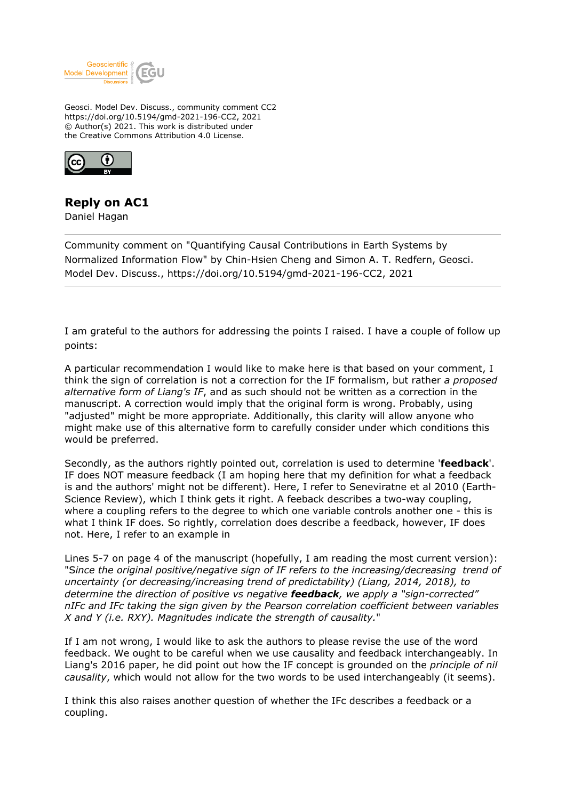

Geosci. Model Dev. Discuss., community comment CC2 https://doi.org/10.5194/gmd-2021-196-CC2, 2021 © Author(s) 2021. This work is distributed under the Creative Commons Attribution 4.0 License.



## **Reply on AC1**

Daniel Hagan

Community comment on "Quantifying Causal Contributions in Earth Systems by Normalized Information Flow" by Chin-Hsien Cheng and Simon A. T. Redfern, Geosci. Model Dev. Discuss., https://doi.org/10.5194/gmd-2021-196-CC2, 2021

I am grateful to the authors for addressing the points I raised. I have a couple of follow up points:

A particular recommendation I would like to make here is that based on your comment, I think the sign of correlation is not a correction for the IF formalism, but rather *a proposed alternative form of Liang's IF*, and as such should not be written as a correction in the manuscript. A correction would imply that the original form is wrong. Probably, using "adjusted" might be more appropriate. Additionally, this clarity will allow anyone who might make use of this alternative form to carefully consider under which conditions this would be preferred.

Secondly, as the authors rightly pointed out, correlation is used to determine '**feedback**'. IF does NOT measure feedback (I am hoping here that my definition for what a feedback is and the authors' might not be different). Here, I refer to Seneviratne et al 2010 (Earth-Science Review), which I think gets it right. A feeback describes a two-way coupling, where a coupling refers to the degree to which one variable controls another one - this is what I think IF does. So rightly, correlation does describe a feedback, however, IF does not. Here, I refer to an example in

Lines 5-7 on page 4 of the manuscript (hopefully, I am reading the most current version): "S*ince the original positive/negative sign of IF refers to the increasing/decreasing trend of uncertainty (or decreasing/increasing trend of predictability) (Liang, 2014, 2018), to determine the direction of positive vs negative feedback, we apply a "sign-corrected" nIFc and IFc taking the sign given by the Pearson correlation coefficient between variables X and Y (i.e. RXY). Magnitudes indicate the strength of causality.*"

If I am not wrong, I would like to ask the authors to please revise the use of the word feedback. We ought to be careful when we use causality and feedback interchangeably. In Liang's 2016 paper, he did point out how the IF concept is grounded on the *principle of nil causality*, which would not allow for the two words to be used interchangeably (it seems).

I think this also raises another question of whether the IFc describes a feedback or a coupling.